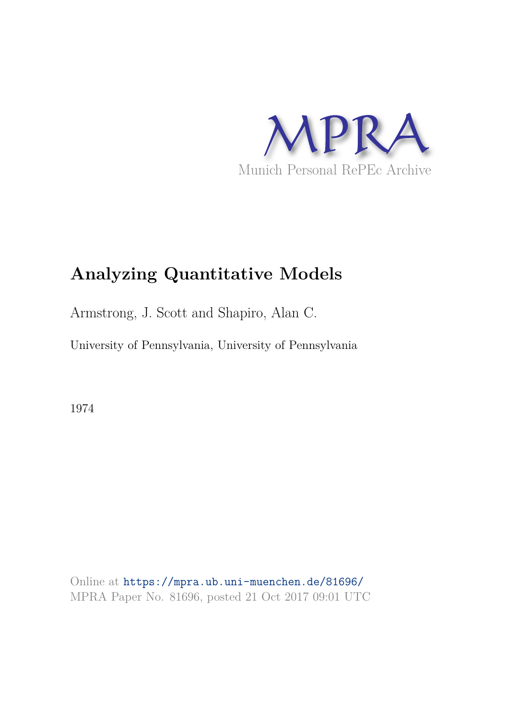

## **Analyzing Quantitative Models**

Armstrong, J. Scott and Shapiro, Alan C.

University of Pennsylvania, University of Pennsylvania

1974

Online at https://mpra.ub.uni-muenchen.de/81696/ MPRA Paper No. 81696, posted 21 Oct 2017 09:01 UTC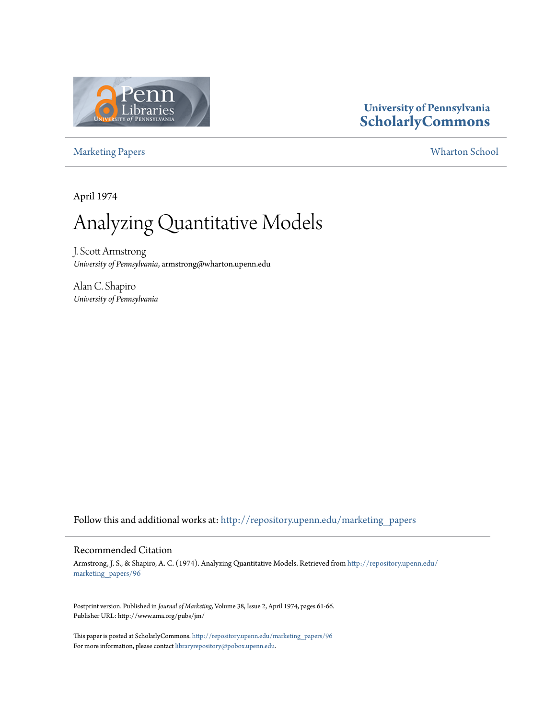

### **University of Pennsylvania ScholarlyCommons**

Marketing Papers Wharton School

April 1974

# Analyzing Quantitative Models

J. Scott Armstrong *University of Pennsylvania*, armstrong@wharton.upenn.edu

Alan C. Shapiro *University of Pennsylvania*

Follow this and additional works at: http://repository.upenn.edu/marketing\_papers

#### Recommended Citation

Armstrong, J. S., & Shapiro, A. C. (1974). Analyzing Quantitative Models. Retrieved from http://repository.upenn.edu/ marketing\_papers/96

Postprint version. Published in *Journal of Marketing*, Volume 38, Issue 2, April 1974, pages 61-66. Publisher URL: http://www.ama.org/pubs/jm/

This paper is posted at ScholarlyCommons. http://repository.upenn.edu/marketing\_papers/96 For more information, please contact libraryrepository@pobox.upenn.edu.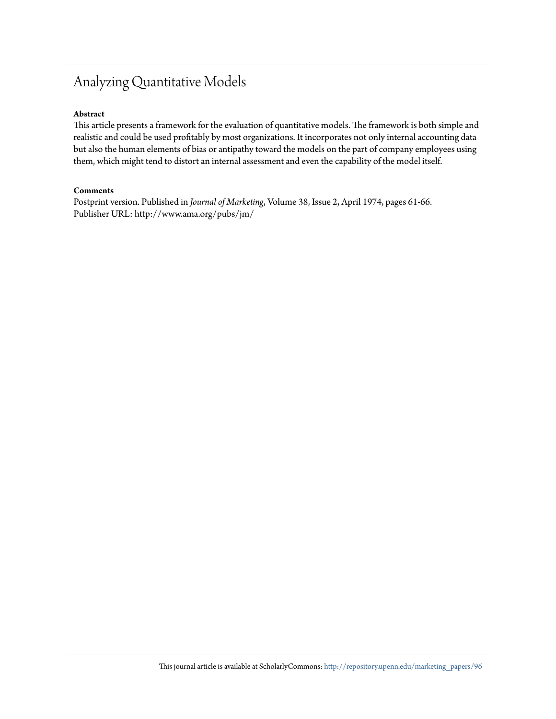## Analyzing Quantitative Models

#### **Abstract**

This article presents a framework for the evaluation of quantitative models. The framework is both simple and realistic and could be used profitably by most organizations. It incorporates not only internal accounting data but also the human elements of bias or antipathy toward the models on the part of company employees using them, which might tend to distort an internal assessment and even the capability of the model itself.

#### **Comments**

Postprint version. Published in *Journal of Marketing*, Volume 38, Issue 2, April 1974, pages 61-66. Publisher URL: http://www.ama.org/pubs/jm/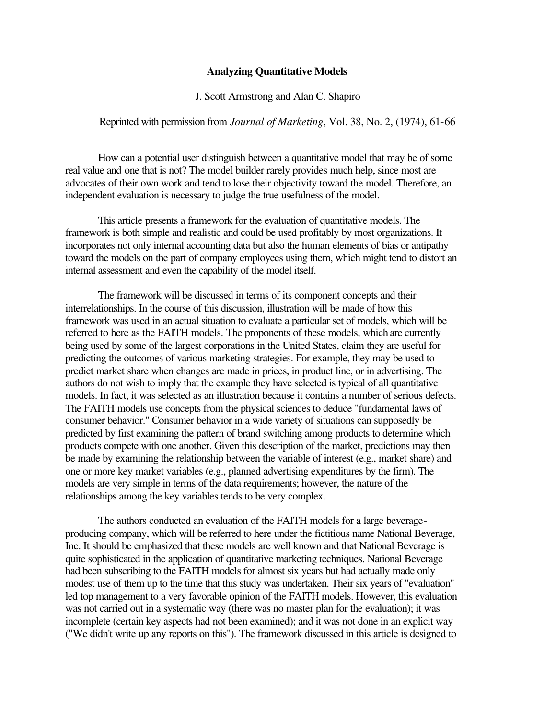#### **Analyzing Quantitative Models**

J. Scott Armstrong and Alan C. Shapiro

Reprinted with permission from *Journal of Marketing*, Vol. 38, No. 2, (1974), 61-66

How can a potential user distinguish between a quantitative model that may be of some real value and one that is not? The model builder rarely provides much help, since most are advocates of their own work and tend to lose their objectivity toward the model. Therefore, an independent evaluation is necessary to judge the true usefulness of the model.

This article presents a framework for the evaluation of quantitative models. The framework is both simple and realistic and could be used profitably by most organizations. It incorporates not only internal accounting data but also the human elements of bias or antipathy toward the models on the part of company employees using them, which might tend to distort an internal assessment and even the capability of the model itself.

The framework will be discussed in terms of its component concepts and their interrelationships. In the course of this discussion, illustration will be made of how this framework was used in an actual situation to evaluate a particular set of models, which will be referred to here as the FAITH models. The proponents of these models, which are currently being used by some of the largest corporations in the United States, claim they are useful for predicting the outcomes of various marketing strategies. For example, they may be used to predict market share when changes are made in prices, in product line, or in advertising. The authors do not wish to imply that the example they have selected is typical of all quantitative models. In fact, it was selected as an illustration because it contains a number of serious defects. The FAITH models use concepts from the physical sciences to deduce "fundamental laws of consumer behavior." Consumer behavior in a wide variety of situations can supposedly be predicted by first examining the pattern of brand switching among products to determine which products compete with one another. Given this description of the market, predictions may then be made by examining the relationship between the variable of interest (e.g., market share) and one or more key market variables (e.g., planned advertising expenditures by the firm). The models are very simple in terms of the data requirements; however, the nature of the relationships among the key variables tends to be very complex.

The authors conducted an evaluation of the FAITH models for a large beverageproducing company, which will be referred to here under the fictitious name National Beverage, Inc. It should be emphasized that these models are well known and that National Beverage is quite sophisticated in the application of quantitative marketing techniques. National Beverage had been subscribing to the FAITH models for almost six years but had actually made only modest use of them up to the time that this study was undertaken. Their six years of "evaluation" led top management to a very favorable opinion of the FAITH models. However, this evaluation was not carried out in a systematic way (there was no master plan for the evaluation); it was incomplete (certain key aspects had not been examined); and it was not done in an explicit way ("We didn't write up any reports on this"). The framework discussed in this article is designed to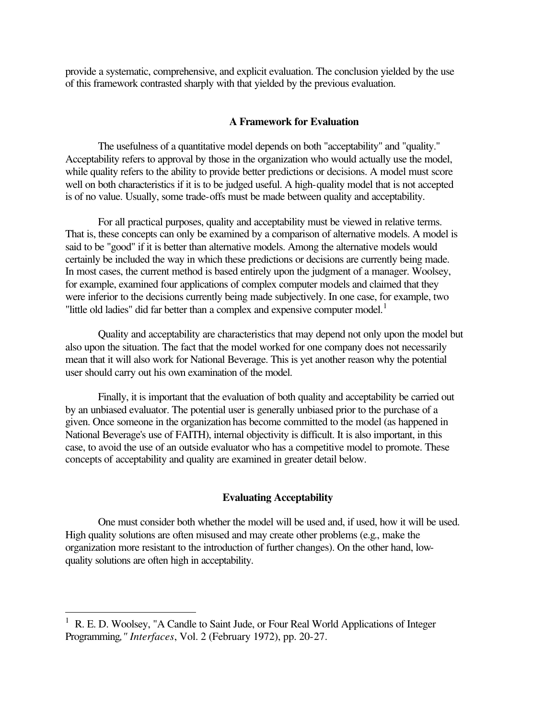provide a systematic, comprehensive, and explicit evaluation. The conclusion yielded by the use of this framework contrasted sharply with that yielded by the previous evaluation.

#### **A Framework for Evaluation**

The usefulness of a quantitative model depends on both "acceptability" and "quality." Acceptability refers to approval by those in the organization who would actually use the model, while quality refers to the ability to provide better predictions or decisions. A model must score well on both characteristics if it is to be judged useful. A high-quality model that is not accepted is of no value. Usually, some trade-offs must be made between quality and acceptability.

For all practical purposes, quality and acceptability must be viewed in relative terms. That is, these concepts can only be examined by a comparison of alternative models. A model is said to be "good" if it is better than alternative models. Among the alternative models would certainly be included the way in which these predictions or decisions are currently being made. In most cases, the current method is based entirely upon the judgment of a manager. Woolsey, for example, examined four applications of complex computer models and claimed that they were inferior to the decisions currently being made subjectively. In one case, for example, two "little old ladies" did far better than a complex and expensive computer model.<sup>1</sup>

Quality and acceptability are characteristics that may depend not only upon the model but also upon the situation. The fact that the model worked for one company does not necessarily mean that it will also work for National Beverage. This is yet another reason why the potential user should carry out his own examination of the model.

Finally, it is important that the evaluation of both quality and acceptability be carried out by an unbiased evaluator. The potential user is generally unbiased prior to the purchase of a given. Once someone in the organization has become committed to the model (as happened in National Beverage's use of FAITH), internal objectivity is difficult. It is also important, in this case, to avoid the use of an outside evaluator who has a competitive model to promote. These concepts of acceptability and quality are examined in greater detail below.

#### **Evaluating Acceptability**

One must consider both whether the model will be used and, if used, how it will be used. High quality solutions are often misused and may create other problems (e.g., make the organization more resistant to the introduction of further changes). On the other hand, lowquality solutions are often high in acceptability.

 $\overline{a}$ 

<sup>1</sup> R. E. D. Woolsey, "A Candle to Saint Jude, or Four Real World Applications of Integer Programming*," Interfaces*, Vol. 2 (February 1972), pp. 20-27.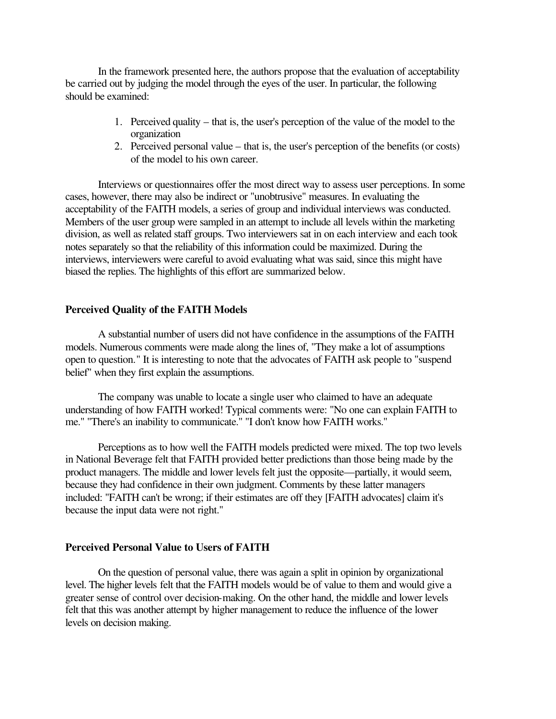In the framework presented here, the authors propose that the evaluation of acceptability be carried out by judging the model through the eyes of the user. In particular, the following should be examined:

- 1. Perceived quality that is, the user's perception of the value of the model to the organization
- 2. Perceived personal value that is, the user's perception of the benefits (or costs) of the model to his own career.

Interviews or questionnaires offer the most direct way to assess user perceptions. In some cases, however, there may also be indirect or "unobtrusive" measures. In evaluating the acceptability of the FAITH models, a series of group and individual interviews was conducted. Members of the user group were sampled in an attempt to include all levels within the marketing division, as well as related staff groups. Two interviewers sat in on each interview and each took notes separately so that the reliability of this information could be maximized. During the interviews, interviewers were careful to avoid evaluating what was said, since this might have biased the replies. The highlights of this effort are summarized below.

#### **Perceived Quality of the FAITH Models**

A substantial number of users did not have confidence in the assumptions of the FAITH models. Numerous comments were made along the lines of, "They make a lot of assumptions open to question." It is interesting to note that the advocates of FAITH ask people to "suspend belief" when they first explain the assumptions.

The company was unable to locate a single user who claimed to have an adequate understanding of how FAITH worked! Typical comments were: "No one can explain FAITH to me." "There's an inability to communicate." "I don't know how FAITH works."

Perceptions as to how well the FAITH models predicted were mixed. The top two levels in National Beverage felt that FAITH provided better predictions than those being made by the product managers. The middle and lower levels felt just the opposite—partially, it would seem, because they had confidence in their own judgment. Comments by these latter managers included: "FAITH can't be wrong; if their estimates are off they [FAITH advocates] claim it's because the input data were not right."

#### **Perceived Personal Value to Users of FAITH**

On the question of personal value, there was again a split in opinion by organizational level. The higher levels felt that the FAITH models would be of value to them and would give a greater sense of control over decision-making. On the other hand, the middle and lower levels felt that this was another attempt by higher management to reduce the influence of the lower levels on decision making.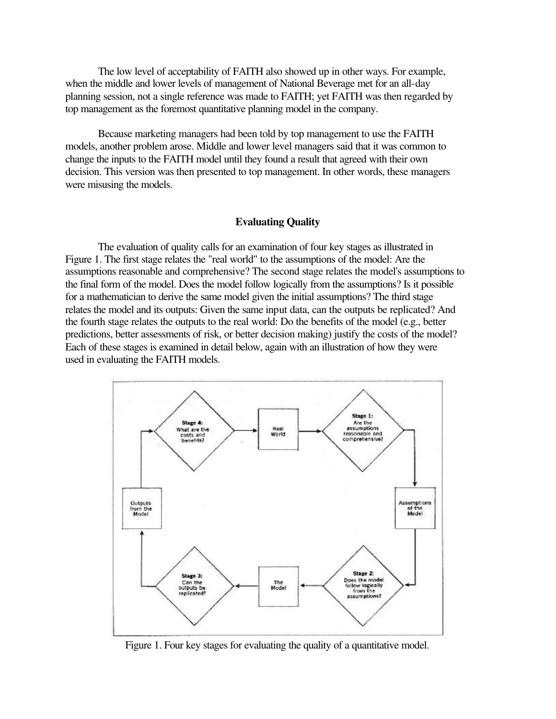The low level of acceptability of FAITH also showed up in other ways. For example, when the middle and lower levels of management of National Beverage met for an all-day planning session, not a single reference was made to FAITH; yet FAITH was then regarded by top management as the foremost quantitative planning model in the company.

Because marketing managers had been told by top management to use the FAITH models, another problem arose. Middle and lower level managers said that it was common to change the inputs to the FAITH model until they found a result that agreed with their own decision. This version was then presented to top management. In other words, these managers were misusing the models.

#### **Evaluating Quality**

The evaluation of quality calls for an examination of four key stages as illustrated in Figure 1. The first stage relates the "real world" to the assumptions of the model: Are the assumptions reasonable and comprehensive? The second stage relates the model's assumptions to the final form of the model. Does the model follow logically from the assumptions? Is it possible for a mathematician to derive the same model given the initial assumptions? The third stage relates the model and its outputs: Given the same input data, can the outputs be replicated? And the fourth stage relates the outputs to the real world: Do the benefits of the model (e.g., better predictions, better assessments of risk, or better decision making) justify the costs of the model? Each of these stages is examined in detail below, again with an illustration of how they were used in evaluating the FAITH models.



Figure 1. Four key stages for evaluating the quality of a quantitative model.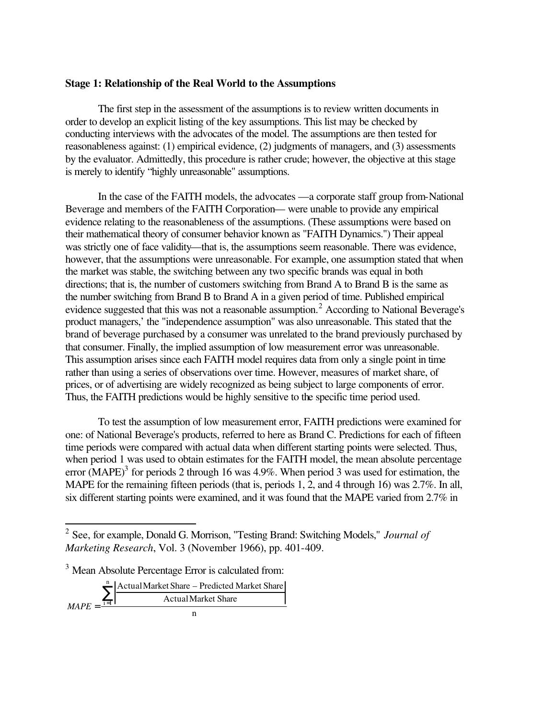#### **Stage 1: Relationship of the Real World to the Assumptions**

The first step in the assessment of the assumptions is to review written documents in order to develop an explicit listing of the key assumptions. This list may be checked by conducting interviews with the advocates of the model. The assumptions are then tested for reasonableness against: (1) empirical evidence, (2) judgments of managers, and (3) assessments by the evaluator. Admittedly, this procedure is rather crude; however, the objective at this stage is merely to identify "highly unreasonable" assumptions.

In the case of the FAITH models, the advocates —a corporate staff group from-National Beverage and members of the FAITH Corporation— were unable to provide any empirical evidence relating to the reasonableness of the assumptions. (These assumptions were based on their mathematical theory of consumer behavior known as "FAITH Dynamics.") Their appeal was strictly one of face validity—that is, the assumptions seem reasonable. There was evidence, however, that the assumptions were unreasonable. For example, one assumption stated that when the market was stable, the switching between any two specific brands was equal in both directions; that is, the number of customers switching from Brand A to Brand B is the same as the number switching from Brand B to Brand A in a given period of time. Published empirical evidence suggested that this was not a reasonable assumption.<sup>2</sup> According to National Beverage's product managers,' the "independence assumption" was also unreasonable. This stated that the brand of beverage purchased by a consumer was unrelated to the brand previously purchased by that consumer. Finally, the implied assumption of low measurement error was unreasonable. This assumption arises since each FAITH model requires data from only a single point in time rather than using a series of observations over time. However, measures of market share, of prices, or of advertising are widely recognized as being subject to large components of error. Thus, the FAITH predictions would be highly sensitive to the specific time period used.

To test the assumption of low measurement error, FAITH predictions were examined for one: of National Beverage's products, referred to here as Brand C. Predictions for each of fifteen time periods were compared with actual data when different starting points were selected. Thus, when period 1 was used to obtain estimates for the FAITH model, the mean absolute percentage error (MAPE)<sup>3</sup> for periods 2 through 16 was 4.9%. When period 3 was used for estimation, the MAPE for the remaining fifteen periods (that is, periods 1, 2, and 4 through 16) was 2.7%. In all, six different starting points were examined, and it was found that the MAPE varied from 2.7% in

<sup>3</sup> Mean Absolute Percentage Error is calculated from:

n ActualMarket Share  $\sum_{n=1}^{n}$  Actual Market Share – Predicted Market Share  $MAPE = \frac{\sum_{i=1}^{n}}{E}$ 

 2 See, for example, Donald G. Morrison, "Testing Brand: Switching Models," *Journal of Marketing Research*, Vol. 3 (November 1966), pp. 401-409.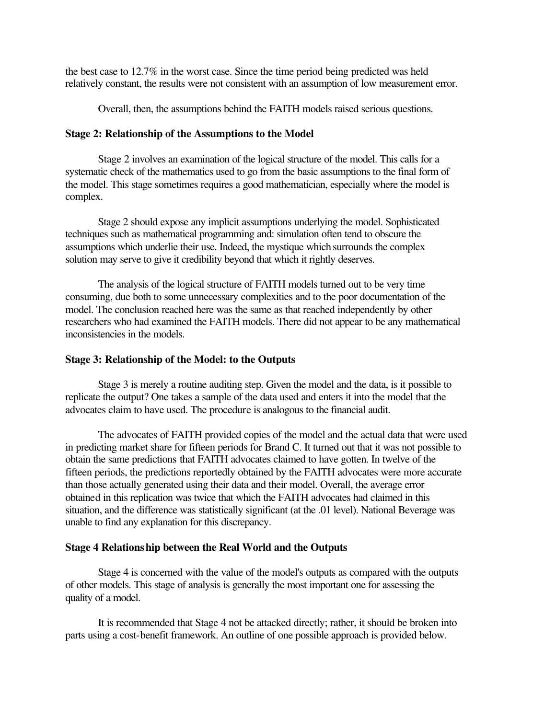the best case to 12.7% in the worst case. Since the time period being predicted was held relatively constant, the results were not consistent with an assumption of low measurement error.

Overall, then, the assumptions behind the FAITH models raised serious questions.

#### **Stage 2: Relationship of the Assumptions to the Model**

Stage 2 involves an examination of the logical structure of the model. This calls for a systematic check of the mathematics used to go from the basic assumptions to the final form of the model. This stage sometimes requires a good mathematician, especially where the model is complex.

Stage 2 should expose any implicit assumptions underlying the model. Sophisticated techniques such as mathematical programming and: simulation often tend to obscure the assumptions which underlie their use. Indeed, the mystique which surrounds the complex solution may serve to give it credibility beyond that which it rightly deserves.

The analysis of the logical structure of FAITH models turned out to be very time consuming, due both to some unnecessary complexities and to the poor documentation of the model. The conclusion reached here was the same as that reached independently by other researchers who had examined the FAITH models. There did not appear to be any mathematical inconsistencies in the models.

#### **Stage 3: Relationship of the Model: to the Outputs**

Stage 3 is merely a routine auditing step. Given the model and the data, is it possible to replicate the output? One takes a sample of the data used and enters it into the model that the advocates claim to have used. The procedure is analogous to the financial audit.

The advocates of FAITH provided copies of the model and the actual data that were used in predicting market share for fifteen periods for Brand C. It turned out that it was not possible to obtain the same predictions that FAITH advocates claimed to have gotten. In twelve of the fifteen periods, the predictions reportedly obtained by the FAITH advocates were more accurate than those actually generated using their data and their model. Overall, the average error obtained in this replication was twice that which the FAITH advocates had claimed in this situation, and the difference was statistically significant (at the .01 level). National Beverage was unable to find any explanation for this discrepancy.

#### **Stage 4 Relationship between the Real World and the Outputs**

Stage 4 is concerned with the value of the model's outputs as compared with the outputs of other models. This stage of analysis is generally the most important one for assessing the quality of a model.

It is recommended that Stage 4 not be attacked directly; rather, it should be broken into parts using a cost-benefit framework. An outline of one possible approach is provided below.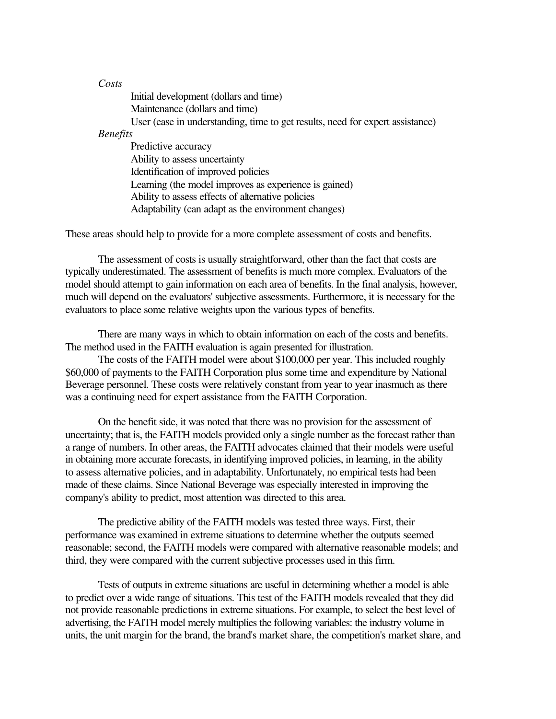*Costs* 

Initial development (dollars and time) Maintenance (dollars and time) User (ease in understanding, time to get results, need for expert assistance) *Benefits*  Predictive accuracy Ability to assess uncertainty Identification of improved policies Learning (the model improves as experience is gained) Ability to assess effects of alternative policies Adaptability (can adapt as the environment changes)

These areas should help to provide for a more complete assessment of costs and benefits.

The assessment of costs is usually straightforward, other than the fact that costs are typically underestimated. The assessment of benefits is much more complex. Evaluators of the model should attempt to gain information on each area of benefits. In the final analysis, however, much will depend on the evaluators' subjective assessments. Furthermore, it is necessary for the evaluators to place some relative weights upon the various types of benefits.

There are many ways in which to obtain information on each of the costs and benefits. The method used in the FAITH evaluation is again presented for illustration.

The costs of the FAITH model were about \$100,000 per year. This included roughly \$60,000 of payments to the FAITH Corporation plus some time and expenditure by National Beverage personnel. These costs were relatively constant from year to year inasmuch as there was a continuing need for expert assistance from the FAITH Corporation.

On the benefit side, it was noted that there was no provision for the assessment of uncertainty; that is, the FAITH models provided only a single number as the forecast rather than a range of numbers. In other areas, the FAITH advocates claimed that their models were useful in obtaining more accurate forecasts, in identifying improved policies, in learning, in the ability to assess alternative policies, and in adaptability. Unfortunately, no empirical tests had been made of these claims. Since National Beverage was especially interested in improving the company's ability to predict, most attention was directed to this area.

The predictive ability of the FAITH models was tested three ways. First, their performance was examined in extreme situations to determine whether the outputs seemed reasonable; second, the FAITH models were compared with alternative reasonable models; and third, they were compared with the current subjective processes used in this firm.

Tests of outputs in extreme situations are useful in determining whether a model is able to predict over a wide range of situations. This test of the FAITH models revealed that they did not provide reasonable predictions in extreme situations. For example, to select the best level of advertising, the FAITH model merely multiplies the following variables: the industry volume in units, the unit margin for the brand, the brand's market share, the competition's market share, and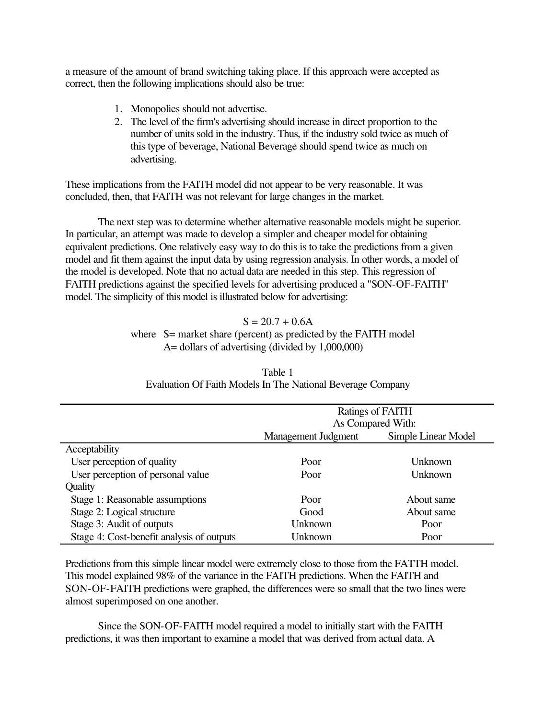a measure of the amount of brand switching taking place. If this approach were accepted as correct, then the following implications should also be true:

- 1. Monopolies should not advertise.
- 2. The level of the firm's advertising should increase in direct proportion to the number of units sold in the industry. Thus, if the industry sold twice as much of this type of beverage, National Beverage should spend twice as much on advertising.

These implications from the FAITH model did not appear to be very reasonable. It was concluded, then, that FAITH was not relevant for large changes in the market.

The next step was to determine whether alternative reasonable models might be superior. In particular, an attempt was made to develop a simpler and cheaper model for obtaining equivalent predictions. One relatively easy way to do this is to take the predictions from a given model and fit them against the input data by using regression analysis. In other words, a model of the model is developed. Note that no actual data are needed in this step. This regression of FAITH predictions against the specified levels for advertising produced a "SON-OF-FAITH" model. The simplicity of this model is illustrated below for advertising:

#### $S = 20.7 + 0.6A$ where S = market share (percent) as predicted by the FAITH model A= dollars of advertising (divided by 1,000,000)

|                                           | <b>Ratings of FAITH</b><br>As Compared With: |                     |
|-------------------------------------------|----------------------------------------------|---------------------|
|                                           | Management Judgment                          | Simple Linear Model |
| Acceptability                             |                                              |                     |
| User perception of quality                | Poor                                         | <b>Unknown</b>      |
| User perception of personal value         | Poor                                         | Unknown             |
| Quality                                   |                                              |                     |
| Stage 1: Reasonable assumptions           | Poor                                         | About same          |
| Stage 2: Logical structure                | Good                                         | About same          |
| Stage 3: Audit of outputs                 | <b>Unknown</b>                               | Poor                |
| Stage 4: Cost-benefit analysis of outputs | Unknown                                      | Poor                |

Table 1 Evaluation Of Faith Models In The National Beverage Company

Predictions from this simple linear model were extremely close to those from the FATTH model. This model explained 98% of the variance in the FAITH predictions. When the FAITH and SON-OF-FAITH predictions were graphed, the differences were so small that the two lines were almost superimposed on one another.

Since the SON-OF-FAITH model required a model to initially start with the FAITH predictions, it was then important to examine a model that was derived from actual data. A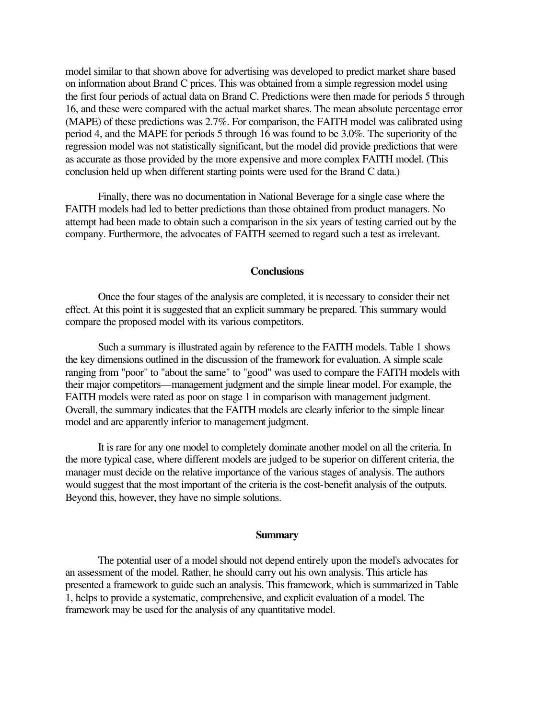model similar to that shown above for advertising was developed to predict market share based on information about Brand C prices. This was obtained from a simple regression model using the first four periods of actual data on Brand C. Predictions were then made for periods 5 through 16, and these were compared with the actual market shares. The mean absolute percentage error (MAPE) of these predictions was 2.7%. For comparison, the FAITH model was calibrated using period 4, and the MAPE for periods 5 through 16 was found to be 3.0%. The superiority of the regression model was not statistically significant, but the model did provide predictions that were as accurate as those provided by the more expensive and more complex FAITH model. (This conclusion held up when different starting points were used for the Brand C data.)

Finally, there was no documentation in National Beverage for a single case where the FAITH models had led to better predictions than those obtained from product managers. No attempt had been made to obtain such a comparison in the six years of testing carried out by the company. Furthermore, the advocates of FAITH seemed to regard such a test as irrelevant.

#### **Conclusions**

Once the four stages of the analysis are completed, it is necessary to consider their net effect. At this point it is suggested that an explicit summary be prepared. This summary would compare the proposed model with its various competitors.

Such a summary is illustrated again by reference to the FAITH models. Table 1 shows the key dimensions outlined in the discussion of the framework for evaluation. A simple scale ranging from "poor" to "about the same" to "good" was used to compare the FAITH models with their major competitors—management judgment and the simple linear model. For example, the FAITH models were rated as poor on stage 1 in comparison with management judgment. Overall, the summary indicates that the FAITH models are clearly inferior to the simple linear model and are apparently inferior to management judgment.

It is rare for any one model to completely dominate another model on all the criteria. In the more typical case, where different models are judged to be superior on different criteria, the manager must decide on the relative importance of the various stages of analysis. The authors would suggest that the most important of the criteria is the cost-benefit analysis of the outputs. Beyond this, however, they have no simple solutions.

#### **Summary**

The potential user of a model should not depend entirely upon the model's advocates for an assessment of the model. Rather, he should carry out his own analysis. This article has presented a framework to guide such an analysis. This framework, which is summarized in Table 1, helps to provide a systematic, comprehensive, and explicit evaluation of a model. The framework may be used for the analysis of any quantitative model.